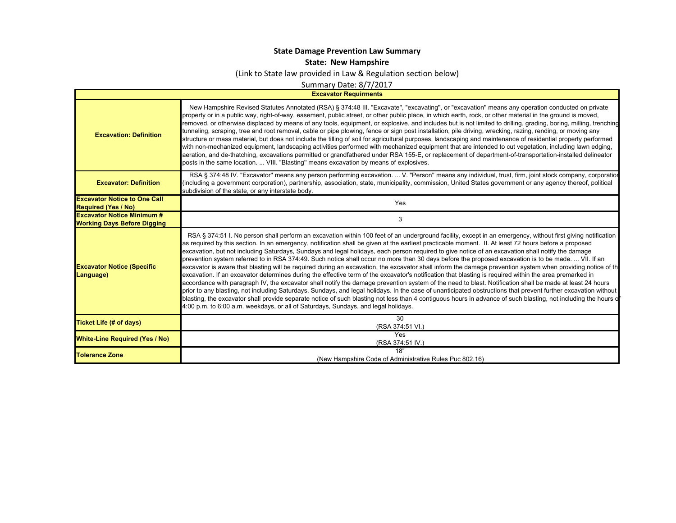## **State Damage Prevention Law Summary**

**State: New Hampshire**

(Link to State law provided in Law & Regulation section below)

Summary Date: 8/7/2017

**Excavator Requirments**

 $\mathbf{I}$ 

| <b>Excavation: Definition</b>                                           | New Hampshire Revised Statutes Annotated (RSA) § 374:48 III. "Excavate", "excavating", or "excavation" means any operation conducted on private<br>property or in a public way, right-of-way, easement, public street, or other public place, in which earth, rock, or other material in the ground is moved,<br>removed, or otherwise displaced by means of any tools, equipment, or explosive, and includes but is not limited to drilling, grading, boring, milling, trenching<br>tunneling, scraping, tree and root removal, cable or pipe plowing, fence or sign post installation, pile driving, wrecking, razing, rending, or moving any<br>structure or mass material, but does not include the tilling of soil for agricultural purposes, landscaping and maintenance of residential property performed<br>with non-mechanized equipment, landscaping activities performed with mechanized equipment that are intended to cut vegetation, including lawn edging,<br>aeration, and de-thatching, excavations permitted or grandfathered under RSA 155-E, or replacement of department-of-transportation-installed delineator<br>posts in the same location.  VIII. "Blasting" means excavation by means of explosives.                                                                                                                                                                                                                                                                                                                    |
|-------------------------------------------------------------------------|---------------------------------------------------------------------------------------------------------------------------------------------------------------------------------------------------------------------------------------------------------------------------------------------------------------------------------------------------------------------------------------------------------------------------------------------------------------------------------------------------------------------------------------------------------------------------------------------------------------------------------------------------------------------------------------------------------------------------------------------------------------------------------------------------------------------------------------------------------------------------------------------------------------------------------------------------------------------------------------------------------------------------------------------------------------------------------------------------------------------------------------------------------------------------------------------------------------------------------------------------------------------------------------------------------------------------------------------------------------------------------------------------------------------------------------------------------------------------------------------------------------------------------------------------|
| <b>Excavator: Definition</b>                                            | RSA § 374:48 IV. "Excavator" means any person performing excavation.  V. "Person" means any individual, trust, firm, joint stock company, corporatior<br>(including a government corporation), partnership, association, state, municipality, commission, United States government or any agency thereof, political<br>subdivision of the state, or any interstate body.                                                                                                                                                                                                                                                                                                                                                                                                                                                                                                                                                                                                                                                                                                                                                                                                                                                                                                                                                                                                                                                                                                                                                                          |
| <b>Excavator Notice to One Call</b><br><b>Required (Yes / No)</b>       | Yes                                                                                                                                                                                                                                                                                                                                                                                                                                                                                                                                                                                                                                                                                                                                                                                                                                                                                                                                                                                                                                                                                                                                                                                                                                                                                                                                                                                                                                                                                                                                               |
| <b>Excavator Notice Minimum #</b><br><b>Working Days Before Digging</b> | 3                                                                                                                                                                                                                                                                                                                                                                                                                                                                                                                                                                                                                                                                                                                                                                                                                                                                                                                                                                                                                                                                                                                                                                                                                                                                                                                                                                                                                                                                                                                                                 |
| <b>Excavator Notice (Specific</b><br>Language)                          | RSA § 374:51 I. No person shall perform an excavation within 100 feet of an underground facility, except in an emergency, without first giving notification<br>as required by this section. In an emergency, notification shall be given at the earliest practicable moment. II. At least 72 hours before a proposed<br>excavation, but not including Saturdays, Sundays and legal holidays, each person required to give notice of an excavation shall notify the damage<br>prevention system referred to in RSA 374:49. Such notice shall occur no more than 30 days before the proposed excavation is to be made.  VII. If an<br>excavator is aware that blasting will be required during an excavation, the excavator shall inform the damage prevention system when providing notice of th<br>excavation. If an excavator determines during the effective term of the excavator's notification that blasting is required within the area premarked in<br>accordance with paragraph IV, the excavator shall notify the damage prevention system of the need to blast. Notification shall be made at least 24 hours<br>prior to any blasting, not including Saturdays, Sundays, and legal holidays. In the case of unanticipated obstructions that prevent further excavation without<br>blasting, the excavator shall provide separate notice of such blasting not less than 4 contiguous hours in advance of such blasting, not including the hours of<br>4:00 p.m. to 6:00 a.m. weekdays, or all of Saturdays, Sundays, and legal holidays. |
| Ticket Life (# of days)                                                 | 30<br>(RSA 374:51 VI.)                                                                                                                                                                                                                                                                                                                                                                                                                                                                                                                                                                                                                                                                                                                                                                                                                                                                                                                                                                                                                                                                                                                                                                                                                                                                                                                                                                                                                                                                                                                            |
| <b>White-Line Required (Yes / No)</b>                                   | Yes<br>(RSA 374:51 IV.)                                                                                                                                                                                                                                                                                                                                                                                                                                                                                                                                                                                                                                                                                                                                                                                                                                                                                                                                                                                                                                                                                                                                                                                                                                                                                                                                                                                                                                                                                                                           |
| <b>Tolerance Zone</b>                                                   | 18"<br>(New Hampshire Code of Administrative Rules Puc 802.16)                                                                                                                                                                                                                                                                                                                                                                                                                                                                                                                                                                                                                                                                                                                                                                                                                                                                                                                                                                                                                                                                                                                                                                                                                                                                                                                                                                                                                                                                                    |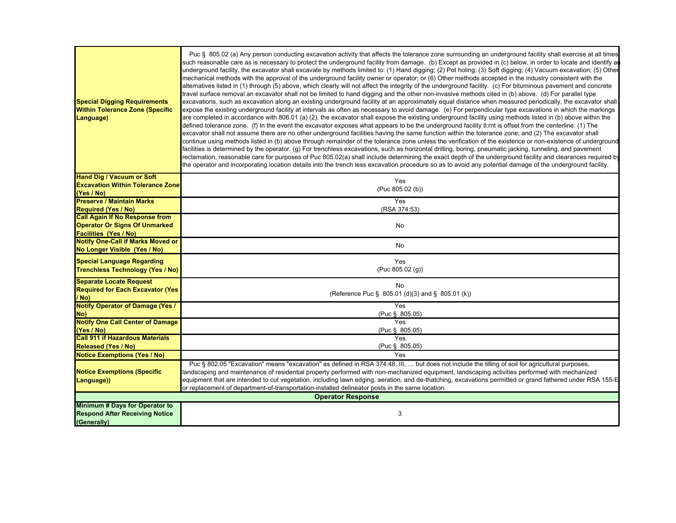| <b>Special Digging Requirements</b><br><b>Within Tolerance Zone (Specific</b><br>Language) | Puc § 805.02 (a) Any person conducting excavation activity that affects the tolerance zone surrounding an underground facility shall exercise at all times<br>such reasonable care as is necessary to protect the underground facility from damage. (b) Except as provided in (c) below, in order to locate and identify ar<br>underground facility, the excavator shall excavate by methods limited to: (1) Hand digging; (2) Pot holing; (3) Soft digging; (4) Vacuum excavation; (5) Other<br>mechanical methods with the approval of the underground facility owner or operator; or (6) Other methods accepted in the industry consistent with the<br>alternatives listed in (1) through (5) above, which clearly will not affect the integrity of the underground facility. (c) For bituminous pavement and concrete<br>travel surface removal an excavator shall not be limited to hand digging and the other non-invasive methods cited in (b) above. (d) For parallel type<br>excavations, such as excavation along an existing underground facility at an approximately equal distance when measured periodically, the excavator shall<br>expose the existing underground facility at intervals as often as necessary to avoid damage. (e) For perpendicular type excavations in which the markings<br>are completed in accordance with 806.01 (a) (2), the excavator shall expose the existing underground facility using methods listed in (b) above within the<br>defined tolerance zone. (f) In the event the excavator exposes what appears to be the underground facility tl:rnt is offset from the centerline: (1) The<br>excavator shall not assume there are no other underground facilities having the same function within the tolerance zone; and (2) The excavator shall<br>continue using methods listed in (b) above through remainder of the tolerance zone unless the verification of the existence or non-existence of underground<br>facilities is determined by the operator. (g) For trenchless excavations, such as horizontal drilling, boring, pneumatic jacking, tunneling, and pavement<br>reclamation, reasonable care for purposes of Puc 805.02(a) shall include determining the exact depth of the underground facility and clearances required by<br>the operator and incorporating location details into the trench less excavation procedure so as to avoid any potential damage of the underground facility. |  |
|--------------------------------------------------------------------------------------------|---------------------------------------------------------------------------------------------------------------------------------------------------------------------------------------------------------------------------------------------------------------------------------------------------------------------------------------------------------------------------------------------------------------------------------------------------------------------------------------------------------------------------------------------------------------------------------------------------------------------------------------------------------------------------------------------------------------------------------------------------------------------------------------------------------------------------------------------------------------------------------------------------------------------------------------------------------------------------------------------------------------------------------------------------------------------------------------------------------------------------------------------------------------------------------------------------------------------------------------------------------------------------------------------------------------------------------------------------------------------------------------------------------------------------------------------------------------------------------------------------------------------------------------------------------------------------------------------------------------------------------------------------------------------------------------------------------------------------------------------------------------------------------------------------------------------------------------------------------------------------------------------------------------------------------------------------------------------------------------------------------------------------------------------------------------------------------------------------------------------------------------------------------------------------------------------------------------------------------------------------------------------------------------------------------------------------------------------------------------------------------------------------------------------------------------------------------|--|
| <b>Hand Dig / Vacuum or Soft</b>                                                           | Yes                                                                                                                                                                                                                                                                                                                                                                                                                                                                                                                                                                                                                                                                                                                                                                                                                                                                                                                                                                                                                                                                                                                                                                                                                                                                                                                                                                                                                                                                                                                                                                                                                                                                                                                                                                                                                                                                                                                                                                                                                                                                                                                                                                                                                                                                                                                                                                                                                                                     |  |
| <b>Excavation Within Tolerance Zone</b><br>(Yes / No)                                      | (Puc 805.02 (b))                                                                                                                                                                                                                                                                                                                                                                                                                                                                                                                                                                                                                                                                                                                                                                                                                                                                                                                                                                                                                                                                                                                                                                                                                                                                                                                                                                                                                                                                                                                                                                                                                                                                                                                                                                                                                                                                                                                                                                                                                                                                                                                                                                                                                                                                                                                                                                                                                                        |  |
| <b>Preserve / Maintain Marks</b>                                                           | Yes                                                                                                                                                                                                                                                                                                                                                                                                                                                                                                                                                                                                                                                                                                                                                                                                                                                                                                                                                                                                                                                                                                                                                                                                                                                                                                                                                                                                                                                                                                                                                                                                                                                                                                                                                                                                                                                                                                                                                                                                                                                                                                                                                                                                                                                                                                                                                                                                                                                     |  |
| <b>Required (Yes / No)</b>                                                                 | (RSA 374:53)                                                                                                                                                                                                                                                                                                                                                                                                                                                                                                                                                                                                                                                                                                                                                                                                                                                                                                                                                                                                                                                                                                                                                                                                                                                                                                                                                                                                                                                                                                                                                                                                                                                                                                                                                                                                                                                                                                                                                                                                                                                                                                                                                                                                                                                                                                                                                                                                                                            |  |
| <b>Call Again If No Response from</b>                                                      |                                                                                                                                                                                                                                                                                                                                                                                                                                                                                                                                                                                                                                                                                                                                                                                                                                                                                                                                                                                                                                                                                                                                                                                                                                                                                                                                                                                                                                                                                                                                                                                                                                                                                                                                                                                                                                                                                                                                                                                                                                                                                                                                                                                                                                                                                                                                                                                                                                                         |  |
| <b>Operator Or Signs Of Unmarked</b>                                                       | No                                                                                                                                                                                                                                                                                                                                                                                                                                                                                                                                                                                                                                                                                                                                                                                                                                                                                                                                                                                                                                                                                                                                                                                                                                                                                                                                                                                                                                                                                                                                                                                                                                                                                                                                                                                                                                                                                                                                                                                                                                                                                                                                                                                                                                                                                                                                                                                                                                                      |  |
| <b>Facilities (Yes / No)</b>                                                               |                                                                                                                                                                                                                                                                                                                                                                                                                                                                                                                                                                                                                                                                                                                                                                                                                                                                                                                                                                                                                                                                                                                                                                                                                                                                                                                                                                                                                                                                                                                                                                                                                                                                                                                                                                                                                                                                                                                                                                                                                                                                                                                                                                                                                                                                                                                                                                                                                                                         |  |
| <b>Notify One-Call if Marks Moved or</b><br>No Longer Visible (Yes / No)                   | No                                                                                                                                                                                                                                                                                                                                                                                                                                                                                                                                                                                                                                                                                                                                                                                                                                                                                                                                                                                                                                                                                                                                                                                                                                                                                                                                                                                                                                                                                                                                                                                                                                                                                                                                                                                                                                                                                                                                                                                                                                                                                                                                                                                                                                                                                                                                                                                                                                                      |  |
| <b>Special Language Regarding</b><br><b>Trenchless Technology (Yes / No)</b>               | Yes<br>(Puc 805.02(g))                                                                                                                                                                                                                                                                                                                                                                                                                                                                                                                                                                                                                                                                                                                                                                                                                                                                                                                                                                                                                                                                                                                                                                                                                                                                                                                                                                                                                                                                                                                                                                                                                                                                                                                                                                                                                                                                                                                                                                                                                                                                                                                                                                                                                                                                                                                                                                                                                                  |  |
| <b>Separate Locate Request</b><br><b>Required for Each Excavator (Yes)</b>                 | No<br>(Reference Puc § 805.01 (d)(3) and § 805.01 (k))                                                                                                                                                                                                                                                                                                                                                                                                                                                                                                                                                                                                                                                                                                                                                                                                                                                                                                                                                                                                                                                                                                                                                                                                                                                                                                                                                                                                                                                                                                                                                                                                                                                                                                                                                                                                                                                                                                                                                                                                                                                                                                                                                                                                                                                                                                                                                                                                  |  |
| / No)<br><b>Notify Operator of Damage (Yes /</b>                                           | Yes                                                                                                                                                                                                                                                                                                                                                                                                                                                                                                                                                                                                                                                                                                                                                                                                                                                                                                                                                                                                                                                                                                                                                                                                                                                                                                                                                                                                                                                                                                                                                                                                                                                                                                                                                                                                                                                                                                                                                                                                                                                                                                                                                                                                                                                                                                                                                                                                                                                     |  |
| No)                                                                                        | (Puc § 805.05)                                                                                                                                                                                                                                                                                                                                                                                                                                                                                                                                                                                                                                                                                                                                                                                                                                                                                                                                                                                                                                                                                                                                                                                                                                                                                                                                                                                                                                                                                                                                                                                                                                                                                                                                                                                                                                                                                                                                                                                                                                                                                                                                                                                                                                                                                                                                                                                                                                          |  |
| <b>Notify One Call Center of Damage</b>                                                    | <b>Yes</b>                                                                                                                                                                                                                                                                                                                                                                                                                                                                                                                                                                                                                                                                                                                                                                                                                                                                                                                                                                                                                                                                                                                                                                                                                                                                                                                                                                                                                                                                                                                                                                                                                                                                                                                                                                                                                                                                                                                                                                                                                                                                                                                                                                                                                                                                                                                                                                                                                                              |  |
| (Yes / No)                                                                                 | (Puc § 805.05)                                                                                                                                                                                                                                                                                                                                                                                                                                                                                                                                                                                                                                                                                                                                                                                                                                                                                                                                                                                                                                                                                                                                                                                                                                                                                                                                                                                                                                                                                                                                                                                                                                                                                                                                                                                                                                                                                                                                                                                                                                                                                                                                                                                                                                                                                                                                                                                                                                          |  |
| <b>Call 911 if Hazardous Materials</b>                                                     | Yes                                                                                                                                                                                                                                                                                                                                                                                                                                                                                                                                                                                                                                                                                                                                                                                                                                                                                                                                                                                                                                                                                                                                                                                                                                                                                                                                                                                                                                                                                                                                                                                                                                                                                                                                                                                                                                                                                                                                                                                                                                                                                                                                                                                                                                                                                                                                                                                                                                                     |  |
| <b>Released (Yes / No)</b><br><b>Notice Exemptions (Yes / No)</b>                          | (Puc § 805.05)<br>Yes                                                                                                                                                                                                                                                                                                                                                                                                                                                                                                                                                                                                                                                                                                                                                                                                                                                                                                                                                                                                                                                                                                                                                                                                                                                                                                                                                                                                                                                                                                                                                                                                                                                                                                                                                                                                                                                                                                                                                                                                                                                                                                                                                                                                                                                                                                                                                                                                                                   |  |
| <b>Notice Exemptions (Specific</b><br>Language))                                           | Puc § 802.05 "Excavation" means "excavation" as defined in RSA 374:48, III,  but does not include the tilling of soil for agricultural purposes,<br>landscaping and maintenance of residential property performed with non-mechanized equipment, landscaping activities performed with mechanized<br>equipment that are intended to cut vegetation, including lawn edging, aeration, and de-thatching, excavations permitted or grand fathered under RSA 155-E<br>or replacement of department-of-transportation-installed delineator posts in the same location.                                                                                                                                                                                                                                                                                                                                                                                                                                                                                                                                                                                                                                                                                                                                                                                                                                                                                                                                                                                                                                                                                                                                                                                                                                                                                                                                                                                                                                                                                                                                                                                                                                                                                                                                                                                                                                                                                       |  |
| <b>Operator Response</b>                                                                   |                                                                                                                                                                                                                                                                                                                                                                                                                                                                                                                                                                                                                                                                                                                                                                                                                                                                                                                                                                                                                                                                                                                                                                                                                                                                                                                                                                                                                                                                                                                                                                                                                                                                                                                                                                                                                                                                                                                                                                                                                                                                                                                                                                                                                                                                                                                                                                                                                                                         |  |
| Minimum # Days for Operator to<br><b>Respond After Receiving Notice</b><br>(Generally)     | 3                                                                                                                                                                                                                                                                                                                                                                                                                                                                                                                                                                                                                                                                                                                                                                                                                                                                                                                                                                                                                                                                                                                                                                                                                                                                                                                                                                                                                                                                                                                                                                                                                                                                                                                                                                                                                                                                                                                                                                                                                                                                                                                                                                                                                                                                                                                                                                                                                                                       |  |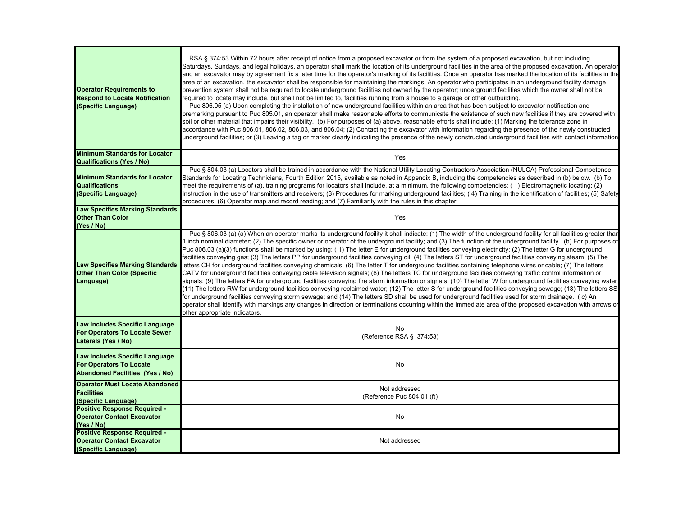| <b>Operator Requirements to</b><br><b>Respond to Locate Notification</b><br>(Specific Language)            | RSA § 374:53 Within 72 hours after receipt of notice from a proposed excavator or from the system of a proposed excavation, but not including<br>Saturdays, Sundays, and legal holidays, an operator shall mark the location of its underground facilities in the area of the proposed excavation. An operator<br>and an excavator may by agreement fix a later time for the operator's marking of its facilities. Once an operator has marked the location of its facilities in the<br>area of an excavation, the excavator shall be responsible for maintaining the markings. An operator who participates in an underground facility damage<br>prevention system shall not be required to locate underground facilities not owned by the operator; underground facilities which the owner shall not be<br>required to locate may include, but shall not be limited to, facilities running from a house to a garage or other outbuilding.<br>Puc 806.05 (a) Upon completing the installation of new underground facilities within an area that has been subject to excavator notification and<br>premarking pursuant to Puc 805.01, an operator shall make reasonable efforts to communicate the existence of such new facilities if they are covered with<br>soil or other material that impairs their visibility. (b) For purposes of (a) above, reasonable efforts shall include: (1) Marking the tolerance zone in<br>accordance with Puc 806.01, 806.02, 806.03, and 806.04; (2) Contacting the excavator with information regarding the presence of the newly constructed<br>underground facilities; or (3) Leaving a tag or marker clearly indicating the presence of the newly constructed underground facilities with contact information |
|------------------------------------------------------------------------------------------------------------|------------------------------------------------------------------------------------------------------------------------------------------------------------------------------------------------------------------------------------------------------------------------------------------------------------------------------------------------------------------------------------------------------------------------------------------------------------------------------------------------------------------------------------------------------------------------------------------------------------------------------------------------------------------------------------------------------------------------------------------------------------------------------------------------------------------------------------------------------------------------------------------------------------------------------------------------------------------------------------------------------------------------------------------------------------------------------------------------------------------------------------------------------------------------------------------------------------------------------------------------------------------------------------------------------------------------------------------------------------------------------------------------------------------------------------------------------------------------------------------------------------------------------------------------------------------------------------------------------------------------------------------------------------------------------------------------------------------------------------------------------|
| <b>Minimum Standards for Locator</b>                                                                       | Yes                                                                                                                                                                                                                                                                                                                                                                                                                                                                                                                                                                                                                                                                                                                                                                                                                                                                                                                                                                                                                                                                                                                                                                                                                                                                                                                                                                                                                                                                                                                                                                                                                                                                                                                                                  |
| <b>Qualifications (Yes / No)</b>                                                                           |                                                                                                                                                                                                                                                                                                                                                                                                                                                                                                                                                                                                                                                                                                                                                                                                                                                                                                                                                                                                                                                                                                                                                                                                                                                                                                                                                                                                                                                                                                                                                                                                                                                                                                                                                      |
| <b>Minimum Standards for Locator</b><br><b>Qualifications</b><br>(Specific Language)                       | Puc § 804.03 (a) Locators shall be trained in accordance with the National Utility Locating Contractors Association (NULCA) Professional Competence<br>Standards for Locating Technicians, Fourth Edition 2015, available as noted in Appendix B, including the competencies as described in (b) below. (b) To<br>meet the requirements of (a), training programs for locators shall include, at a minimum, the following competencies: (1) Electromagnetic locating; (2)<br>Instruction in the use of transmitters and receivers; (3) Procedures for marking underground facilities; (4) Training in the identification of facilities; (5) Safety<br>procedures; (6) Operator map and record reading; and (7) Familiarity with the rules in this chapter.                                                                                                                                                                                                                                                                                                                                                                                                                                                                                                                                                                                                                                                                                                                                                                                                                                                                                                                                                                                           |
| <b>Law Specifies Marking Standards</b><br><b>Other Than Color</b><br>(Yes / No)                            | Yes                                                                                                                                                                                                                                                                                                                                                                                                                                                                                                                                                                                                                                                                                                                                                                                                                                                                                                                                                                                                                                                                                                                                                                                                                                                                                                                                                                                                                                                                                                                                                                                                                                                                                                                                                  |
| <b>Law Specifies Marking Standards</b><br><b>Other Than Color (Specific</b><br>Language)                   | Puc § 806.03 (a) (a) When an operator marks its underground facility it shall indicate: (1) The width of the underground facility for all facilities greater thar<br>1 inch nominal diameter; (2) The specific owner or operator of the underground facility; and (3) The function of the underground facility. (b) For purposes of<br>Puc 806.03 (a)(3) functions shall be marked by using: (1) The letter E for underground facilities conveying electricity; (2) The letter G for underground<br>facilities conveying gas; (3) The letters PP for underground facilities conveying oil; (4) The letters ST for underground facilities conveying steam; (5) The<br>letters CH for underground facilities conveying chemicals; (6) The letter T for underground facilities containing telephone wires or cable; (7) The letters<br>CATV for underground facilities conveying cable television signals; (8) The letters TC for underground facilities conveying traffic control information or<br>signals; (9) The letters FA for underground facilities conveying fire alarm information or signals; (10) The letter W for underground facilities conveying water<br>(11) The letters RW for underground facilities conveying reclaimed water; (12) The letter S for underground facilities conveying sewage; (13) The letters SS<br>for underground facilities conveying storm sewage; and (14) The letters SD shall be used for underground facilities used for storm drainage. (c) An<br>operator shall identify with markings any changes in direction or terminations occurring within the immediate area of the proposed excavation with arrows or<br>other appropriate indicators.                                                           |
| Law Includes Specific Language<br>For Operators To Locate Sewer<br>Laterals (Yes / No)                     | No<br>(Reference RSA § 374:53)                                                                                                                                                                                                                                                                                                                                                                                                                                                                                                                                                                                                                                                                                                                                                                                                                                                                                                                                                                                                                                                                                                                                                                                                                                                                                                                                                                                                                                                                                                                                                                                                                                                                                                                       |
| Law Includes Specific Language<br><b>For Operators To Locate</b><br><b>Abandoned Facilities (Yes / No)</b> | No                                                                                                                                                                                                                                                                                                                                                                                                                                                                                                                                                                                                                                                                                                                                                                                                                                                                                                                                                                                                                                                                                                                                                                                                                                                                                                                                                                                                                                                                                                                                                                                                                                                                                                                                                   |
| <b>Operator Must Locate Abandoned</b><br><b>Facilities</b><br>(Specific Language)                          | Not addressed<br>(Reference Puc 804.01 (f))                                                                                                                                                                                                                                                                                                                                                                                                                                                                                                                                                                                                                                                                                                                                                                                                                                                                                                                                                                                                                                                                                                                                                                                                                                                                                                                                                                                                                                                                                                                                                                                                                                                                                                          |
| <b>Positive Response Required -</b><br><b>Operator Contact Excavator</b><br>(Yes / No)                     | No                                                                                                                                                                                                                                                                                                                                                                                                                                                                                                                                                                                                                                                                                                                                                                                                                                                                                                                                                                                                                                                                                                                                                                                                                                                                                                                                                                                                                                                                                                                                                                                                                                                                                                                                                   |
| <b>Positive Response Required -</b><br><b>Operator Contact Excavator</b><br>(Specific Language)            | Not addressed                                                                                                                                                                                                                                                                                                                                                                                                                                                                                                                                                                                                                                                                                                                                                                                                                                                                                                                                                                                                                                                                                                                                                                                                                                                                                                                                                                                                                                                                                                                                                                                                                                                                                                                                        |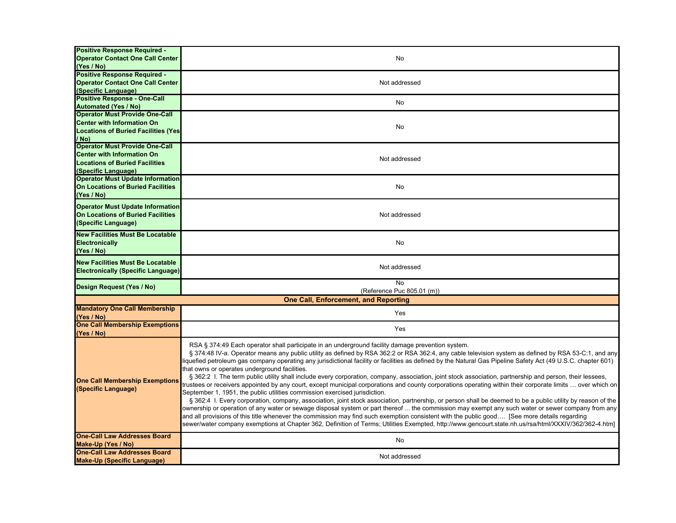| <b>Positive Response Required -</b><br><b>Operator Contact One Call Center</b><br>(Yes / No)                                               | No                                                                                                                                                                                                                                                                                                                                                                                                                                                                                                                                                                                                                                                                                                                                                                                                                                                                                                                                                                                                                                                                                                                                                                                                                                                                                                                                                                                                                                                                                                               |
|--------------------------------------------------------------------------------------------------------------------------------------------|------------------------------------------------------------------------------------------------------------------------------------------------------------------------------------------------------------------------------------------------------------------------------------------------------------------------------------------------------------------------------------------------------------------------------------------------------------------------------------------------------------------------------------------------------------------------------------------------------------------------------------------------------------------------------------------------------------------------------------------------------------------------------------------------------------------------------------------------------------------------------------------------------------------------------------------------------------------------------------------------------------------------------------------------------------------------------------------------------------------------------------------------------------------------------------------------------------------------------------------------------------------------------------------------------------------------------------------------------------------------------------------------------------------------------------------------------------------------------------------------------------------|
| <b>Positive Response Required -</b><br><b>Operator Contact One Call Center</b><br>(Specific Language)                                      | Not addressed                                                                                                                                                                                                                                                                                                                                                                                                                                                                                                                                                                                                                                                                                                                                                                                                                                                                                                                                                                                                                                                                                                                                                                                                                                                                                                                                                                                                                                                                                                    |
| <b>Positive Response - One-Call</b><br><b>Automated (Yes / No)</b>                                                                         | No                                                                                                                                                                                                                                                                                                                                                                                                                                                                                                                                                                                                                                                                                                                                                                                                                                                                                                                                                                                                                                                                                                                                                                                                                                                                                                                                                                                                                                                                                                               |
| <b>Operator Must Provide One-Call</b><br><b>Center with Information On</b><br><b>Locations of Buried Facilities (Yes)</b><br>/ No)         | No                                                                                                                                                                                                                                                                                                                                                                                                                                                                                                                                                                                                                                                                                                                                                                                                                                                                                                                                                                                                                                                                                                                                                                                                                                                                                                                                                                                                                                                                                                               |
| <b>Operator Must Provide One-Call</b><br><b>Center with Information On</b><br><b>Locations of Buried Facilities</b><br>(Specific Language) | Not addressed                                                                                                                                                                                                                                                                                                                                                                                                                                                                                                                                                                                                                                                                                                                                                                                                                                                                                                                                                                                                                                                                                                                                                                                                                                                                                                                                                                                                                                                                                                    |
| <b>Operator Must Update Information</b><br><b>On Locations of Buried Facilities</b><br>(Yes / No)                                          | No                                                                                                                                                                                                                                                                                                                                                                                                                                                                                                                                                                                                                                                                                                                                                                                                                                                                                                                                                                                                                                                                                                                                                                                                                                                                                                                                                                                                                                                                                                               |
| <b>Operator Must Update Information</b><br><b>On Locations of Buried Facilities</b><br>(Specific Language)                                 | Not addressed                                                                                                                                                                                                                                                                                                                                                                                                                                                                                                                                                                                                                                                                                                                                                                                                                                                                                                                                                                                                                                                                                                                                                                                                                                                                                                                                                                                                                                                                                                    |
| <b>New Facilities Must Be Locatable</b><br>Electronically<br>(Yes / No)                                                                    | No                                                                                                                                                                                                                                                                                                                                                                                                                                                                                                                                                                                                                                                                                                                                                                                                                                                                                                                                                                                                                                                                                                                                                                                                                                                                                                                                                                                                                                                                                                               |
| <b>New Facilities Must Be Locatable</b><br><b>Electronically (Specific Language)</b>                                                       | Not addressed                                                                                                                                                                                                                                                                                                                                                                                                                                                                                                                                                                                                                                                                                                                                                                                                                                                                                                                                                                                                                                                                                                                                                                                                                                                                                                                                                                                                                                                                                                    |
| Design Request (Yes / No)                                                                                                                  | $\overline{N}$<br>(Reference Puc 805.01 (m))                                                                                                                                                                                                                                                                                                                                                                                                                                                                                                                                                                                                                                                                                                                                                                                                                                                                                                                                                                                                                                                                                                                                                                                                                                                                                                                                                                                                                                                                     |
|                                                                                                                                            | <b>One Call, Enforcement, and Reporting</b>                                                                                                                                                                                                                                                                                                                                                                                                                                                                                                                                                                                                                                                                                                                                                                                                                                                                                                                                                                                                                                                                                                                                                                                                                                                                                                                                                                                                                                                                      |
| <b>Mandatory One Call Membership</b><br>(Yes / No)                                                                                         | Yes                                                                                                                                                                                                                                                                                                                                                                                                                                                                                                                                                                                                                                                                                                                                                                                                                                                                                                                                                                                                                                                                                                                                                                                                                                                                                                                                                                                                                                                                                                              |
| <b>One Call Membership Exemptions</b><br>(Yes / No)                                                                                        | Yes                                                                                                                                                                                                                                                                                                                                                                                                                                                                                                                                                                                                                                                                                                                                                                                                                                                                                                                                                                                                                                                                                                                                                                                                                                                                                                                                                                                                                                                                                                              |
| <b>One Call Membership Exemptions</b><br>(Specific Language)                                                                               | RSA § 374:49 Each operator shall participate in an underground facility damage prevention system.<br>§ 374:48 IV-a. Operator means any public utility as defined by RSA 362:2 or RSA 362:4, any cable television system as defined by RSA 53-C:1, and any<br>iquefied petroleum gas company operating any jurisdictional facility or facilities as defined by the Natural Gas Pipeline Safety Act (49 U.S.C. chapter 601)<br>that owns or operates underground facilities.<br>§ 362:2 I. The term public utility shall include every corporation, company, association, joint stock association, partnership and person, their lessees,<br>trustees or receivers appointed by any court, except municipal corporations and county corporations operating within their corporate limits  over which on<br>September 1, 1951, the public utilities commission exercised jurisdiction.<br>§ 362:4 I. Every corporation, company, association, joint stock association, partnership, or person shall be deemed to be a public utility by reason of the<br>ownership or operation of any water or sewage disposal system or part thereof  the commission may exempt any such water or sewer company from any<br>and all provisions of this title whenever the commission may find such exemption consistent with the public good [See more details regarding<br>sewer/water company exemptions at Chapter 362, Definition of Terms; Utilities Exempted, http://www.gencourt.state.nh.us/rsa/html/XXXIV/362/362-4.htm] |
| <b>One-Call Law Addresses Board</b><br>Make-Up (Yes / No)                                                                                  | No                                                                                                                                                                                                                                                                                                                                                                                                                                                                                                                                                                                                                                                                                                                                                                                                                                                                                                                                                                                                                                                                                                                                                                                                                                                                                                                                                                                                                                                                                                               |
| <b>One-Call Law Addresses Board</b><br><b>Make-Up (Specific Language)</b>                                                                  | Not addressed                                                                                                                                                                                                                                                                                                                                                                                                                                                                                                                                                                                                                                                                                                                                                                                                                                                                                                                                                                                                                                                                                                                                                                                                                                                                                                                                                                                                                                                                                                    |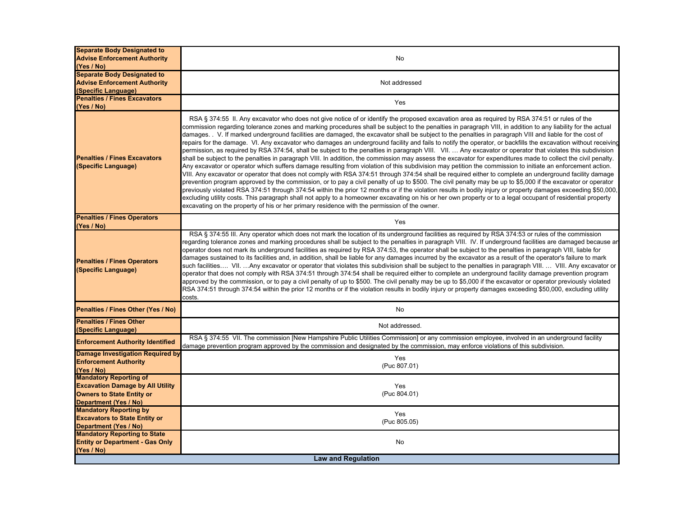| <b>Separate Body Designated to</b><br><b>Advise Enforcement Authority</b> | No                                                                                                                                                                                                                                                                                                                                                                                                                                                                                                                                                                                                                                                                                                                                                                                                                                                                                                                                                                                                                                                                                                                                                                                                                                                                                                                                                                                                                                                                                                                                                                                                                                                                                                                                                                                                                                                                                               |
|---------------------------------------------------------------------------|--------------------------------------------------------------------------------------------------------------------------------------------------------------------------------------------------------------------------------------------------------------------------------------------------------------------------------------------------------------------------------------------------------------------------------------------------------------------------------------------------------------------------------------------------------------------------------------------------------------------------------------------------------------------------------------------------------------------------------------------------------------------------------------------------------------------------------------------------------------------------------------------------------------------------------------------------------------------------------------------------------------------------------------------------------------------------------------------------------------------------------------------------------------------------------------------------------------------------------------------------------------------------------------------------------------------------------------------------------------------------------------------------------------------------------------------------------------------------------------------------------------------------------------------------------------------------------------------------------------------------------------------------------------------------------------------------------------------------------------------------------------------------------------------------------------------------------------------------------------------------------------------------|
| (Yes / No)                                                                |                                                                                                                                                                                                                                                                                                                                                                                                                                                                                                                                                                                                                                                                                                                                                                                                                                                                                                                                                                                                                                                                                                                                                                                                                                                                                                                                                                                                                                                                                                                                                                                                                                                                                                                                                                                                                                                                                                  |
| <b>Separate Body Designated to</b>                                        |                                                                                                                                                                                                                                                                                                                                                                                                                                                                                                                                                                                                                                                                                                                                                                                                                                                                                                                                                                                                                                                                                                                                                                                                                                                                                                                                                                                                                                                                                                                                                                                                                                                                                                                                                                                                                                                                                                  |
| <b>Advise Enforcement Authority</b>                                       | Not addressed                                                                                                                                                                                                                                                                                                                                                                                                                                                                                                                                                                                                                                                                                                                                                                                                                                                                                                                                                                                                                                                                                                                                                                                                                                                                                                                                                                                                                                                                                                                                                                                                                                                                                                                                                                                                                                                                                    |
| (Specific Language)                                                       |                                                                                                                                                                                                                                                                                                                                                                                                                                                                                                                                                                                                                                                                                                                                                                                                                                                                                                                                                                                                                                                                                                                                                                                                                                                                                                                                                                                                                                                                                                                                                                                                                                                                                                                                                                                                                                                                                                  |
| <b>Penalties / Fines Excavators</b>                                       | Yes                                                                                                                                                                                                                                                                                                                                                                                                                                                                                                                                                                                                                                                                                                                                                                                                                                                                                                                                                                                                                                                                                                                                                                                                                                                                                                                                                                                                                                                                                                                                                                                                                                                                                                                                                                                                                                                                                              |
| (Yes / No)                                                                |                                                                                                                                                                                                                                                                                                                                                                                                                                                                                                                                                                                                                                                                                                                                                                                                                                                                                                                                                                                                                                                                                                                                                                                                                                                                                                                                                                                                                                                                                                                                                                                                                                                                                                                                                                                                                                                                                                  |
| <b>Penalties / Fines Excavators</b><br>(Specific Language)                | RSA § 374:55 II. Any excavator who does not give notice of or identify the proposed excavation area as required by RSA 374:51 or rules of the<br>commission regarding tolerance zones and marking procedures shall be subject to the penalties in paragraph VIII, in addition to any liability for the actual<br>damages. V. If marked underground facilities are damaged, the excavator shall be subject to the penalties in paragraph VIII and liable for the cost of<br>repairs for the damage. VI. Any excavator who damages an underground facility and fails to notify the operator, or backfills the excavation without receiving<br>permission, as required by RSA 374:54, shall be subject to the penalties in paragraph VIII. VII.  Any excavator or operator that violates this subdivision<br>shall be subject to the penalties in paragraph VIII. In addition, the commission may assess the excavator for expenditures made to collect the civil penalty.<br>Any excavator or operator which suffers damage resulting from violation of this subdivision may petition the commission to initiate an enforcement action.<br>VIII. Any excavator or operator that does not comply with RSA 374:51 through 374:54 shall be required either to complete an underground facility damage<br>prevention program approved by the commission, or to pay a civil penalty of up to \$500. The civil penalty may be up to \$5,000 if the excavator or operator<br>previously violated RSA 374:51 through 374:54 within the prior 12 months or if the violation results in bodily injury or property damages exceeding \$50,000,<br>excluding utility costs. This paragraph shall not apply to a homeowner excavating on his or her own property or to a legal occupant of residential property<br>excavating on the property of his or her primary residence with the permission of the owner. |
| <b>Penalties / Fines Operators</b><br>(Yes / No)                          | Yes                                                                                                                                                                                                                                                                                                                                                                                                                                                                                                                                                                                                                                                                                                                                                                                                                                                                                                                                                                                                                                                                                                                                                                                                                                                                                                                                                                                                                                                                                                                                                                                                                                                                                                                                                                                                                                                                                              |
| <b>Penalties / Fines Operators</b><br>(Specific Language)                 | RSA § 374:55 III. Any operator which does not mark the location of its underground facilities as required by RSA 374:53 or rules of the commission<br>regarding tolerance zones and marking procedures shall be subject to the penalties in paragraph VIII. IV. If underground facilities are damaged because ar<br>operator does not mark its underground facilities as required by RSA 374:53, the operator shall be subject to the penalties in paragraph VIII, liable for<br>damages sustained to its facilities and, in addition, shall be liable for any damages incurred by the excavator as a result of the operator's failure to mark<br>such facilities VII. Any excavator or operator that violates this subdivision shall be subject to the penalties in paragraph VIII.  VIII. Any excavator or<br>operator that does not comply with RSA 374:51 through 374:54 shall be required either to complete an underground facility damage prevention program<br>approved by the commission, or to pay a civil penalty of up to \$500. The civil penalty may be up to \$5,000 if the excavator or operator previously violated<br>RSA 374:51 through 374:54 within the prior 12 months or if the violation results in bodily injury or property damages exceeding \$50,000, excluding utility<br>costs.                                                                                                                                                                                                                                                                                                                                                                                                                                                                                                                                                                                    |
| Penalties / Fines Other (Yes / No)                                        | No                                                                                                                                                                                                                                                                                                                                                                                                                                                                                                                                                                                                                                                                                                                                                                                                                                                                                                                                                                                                                                                                                                                                                                                                                                                                                                                                                                                                                                                                                                                                                                                                                                                                                                                                                                                                                                                                                               |
| <b>Penalties / Fines Other</b><br>(Specific Language)                     | Not addressed.                                                                                                                                                                                                                                                                                                                                                                                                                                                                                                                                                                                                                                                                                                                                                                                                                                                                                                                                                                                                                                                                                                                                                                                                                                                                                                                                                                                                                                                                                                                                                                                                                                                                                                                                                                                                                                                                                   |
| <b>Enforcement Authority Identified</b>                                   | RSA § 374:55 VII. The commission [New Hampshire Public Utilities Commission] or any commission employee, involved in an underground facility<br>damage prevention program approved by the commission and designated by the commission, may enforce violations of this subdivision.                                                                                                                                                                                                                                                                                                                                                                                                                                                                                                                                                                                                                                                                                                                                                                                                                                                                                                                                                                                                                                                                                                                                                                                                                                                                                                                                                                                                                                                                                                                                                                                                               |
| Damage Investigation Required by                                          | Yes                                                                                                                                                                                                                                                                                                                                                                                                                                                                                                                                                                                                                                                                                                                                                                                                                                                                                                                                                                                                                                                                                                                                                                                                                                                                                                                                                                                                                                                                                                                                                                                                                                                                                                                                                                                                                                                                                              |
| <b>Enforcement Authority</b>                                              | (Puc 807.01)                                                                                                                                                                                                                                                                                                                                                                                                                                                                                                                                                                                                                                                                                                                                                                                                                                                                                                                                                                                                                                                                                                                                                                                                                                                                                                                                                                                                                                                                                                                                                                                                                                                                                                                                                                                                                                                                                     |
| (Yes / No)                                                                |                                                                                                                                                                                                                                                                                                                                                                                                                                                                                                                                                                                                                                                                                                                                                                                                                                                                                                                                                                                                                                                                                                                                                                                                                                                                                                                                                                                                                                                                                                                                                                                                                                                                                                                                                                                                                                                                                                  |
| <b>Mandatory Reporting of</b>                                             |                                                                                                                                                                                                                                                                                                                                                                                                                                                                                                                                                                                                                                                                                                                                                                                                                                                                                                                                                                                                                                                                                                                                                                                                                                                                                                                                                                                                                                                                                                                                                                                                                                                                                                                                                                                                                                                                                                  |
| <b>Excavation Damage by All Utility</b>                                   | Yes                                                                                                                                                                                                                                                                                                                                                                                                                                                                                                                                                                                                                                                                                                                                                                                                                                                                                                                                                                                                                                                                                                                                                                                                                                                                                                                                                                                                                                                                                                                                                                                                                                                                                                                                                                                                                                                                                              |
| <b>Owners to State Entity or</b>                                          | (Puc 804.01)                                                                                                                                                                                                                                                                                                                                                                                                                                                                                                                                                                                                                                                                                                                                                                                                                                                                                                                                                                                                                                                                                                                                                                                                                                                                                                                                                                                                                                                                                                                                                                                                                                                                                                                                                                                                                                                                                     |
| Department (Yes / No)                                                     |                                                                                                                                                                                                                                                                                                                                                                                                                                                                                                                                                                                                                                                                                                                                                                                                                                                                                                                                                                                                                                                                                                                                                                                                                                                                                                                                                                                                                                                                                                                                                                                                                                                                                                                                                                                                                                                                                                  |
| <b>Mandatory Reporting by</b>                                             | Yes                                                                                                                                                                                                                                                                                                                                                                                                                                                                                                                                                                                                                                                                                                                                                                                                                                                                                                                                                                                                                                                                                                                                                                                                                                                                                                                                                                                                                                                                                                                                                                                                                                                                                                                                                                                                                                                                                              |
| <b>Excavators to State Entity or</b>                                      | (Puc 805.05)                                                                                                                                                                                                                                                                                                                                                                                                                                                                                                                                                                                                                                                                                                                                                                                                                                                                                                                                                                                                                                                                                                                                                                                                                                                                                                                                                                                                                                                                                                                                                                                                                                                                                                                                                                                                                                                                                     |
| Department (Yes / No)                                                     |                                                                                                                                                                                                                                                                                                                                                                                                                                                                                                                                                                                                                                                                                                                                                                                                                                                                                                                                                                                                                                                                                                                                                                                                                                                                                                                                                                                                                                                                                                                                                                                                                                                                                                                                                                                                                                                                                                  |
| <b>Mandatory Reporting to State</b>                                       |                                                                                                                                                                                                                                                                                                                                                                                                                                                                                                                                                                                                                                                                                                                                                                                                                                                                                                                                                                                                                                                                                                                                                                                                                                                                                                                                                                                                                                                                                                                                                                                                                                                                                                                                                                                                                                                                                                  |
| <b>Entity or Department - Gas Only</b><br>(Yes / No)                      | No                                                                                                                                                                                                                                                                                                                                                                                                                                                                                                                                                                                                                                                                                                                                                                                                                                                                                                                                                                                                                                                                                                                                                                                                                                                                                                                                                                                                                                                                                                                                                                                                                                                                                                                                                                                                                                                                                               |
|                                                                           | <b>Law and Regulation</b>                                                                                                                                                                                                                                                                                                                                                                                                                                                                                                                                                                                                                                                                                                                                                                                                                                                                                                                                                                                                                                                                                                                                                                                                                                                                                                                                                                                                                                                                                                                                                                                                                                                                                                                                                                                                                                                                        |
|                                                                           |                                                                                                                                                                                                                                                                                                                                                                                                                                                                                                                                                                                                                                                                                                                                                                                                                                                                                                                                                                                                                                                                                                                                                                                                                                                                                                                                                                                                                                                                                                                                                                                                                                                                                                                                                                                                                                                                                                  |